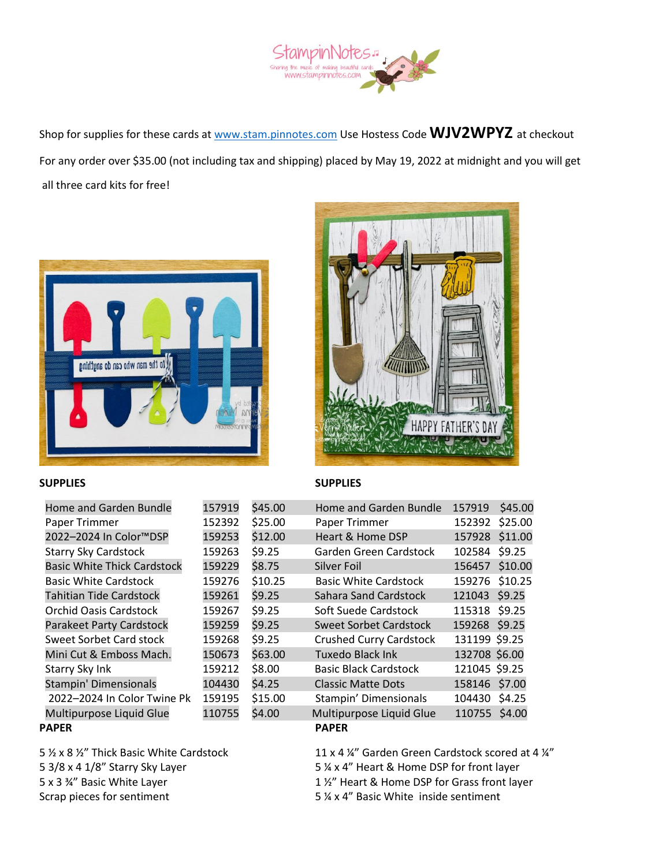

Shop for supplies for these cards at [www.stam.pinnotes.com](http://www.stam.pinnotes.com/) Use Hostess Code **WJV2WPYZ** at checkout For any order over \$35.00 (not including tax and shipping) placed by May 19, 2022 at midnight and you will get all three card kits for free!



## *ATTIONS* **HAPPY FATHER'S**

## **SUPPLIES SUPPLIES**

| Home and Garden Bundle             | 157919 | \$45.00 | Home and Garden Bundle         | 157919         | \$45.00 |
|------------------------------------|--------|---------|--------------------------------|----------------|---------|
| Paper Trimmer                      | 152392 | \$25.00 | Paper Trimmer                  | 152392         | \$25.00 |
| 2022-2024 In Color™DSP             | 159253 | \$12.00 | Heart & Home DSP               | 157928 \$11.00 |         |
| <b>Starry Sky Cardstock</b>        | 159263 | \$9.25  | Garden Green Cardstock         | 102584 \$9.25  |         |
| <b>Basic White Thick Cardstock</b> | 159229 | \$8.75  | Silver Foil                    | 156457 \$10.00 |         |
| <b>Basic White Cardstock</b>       | 159276 | \$10.25 | <b>Basic White Cardstock</b>   | 159276 \$10.25 |         |
| Tahitian Tide Cardstock            | 159261 | \$9.25  | Sahara Sand Cardstock          | 121043 \$9.25  |         |
| <b>Orchid Oasis Cardstock</b>      | 159267 | \$9.25  | Soft Suede Cardstock           | 115318 \$9.25  |         |
| <b>Parakeet Party Cardstock</b>    | 159259 | \$9.25  | <b>Sweet Sorbet Cardstock</b>  | 159268 \$9.25  |         |
| <b>Sweet Sorbet Card stock</b>     | 159268 | \$9.25  | <b>Crushed Curry Cardstock</b> | 131199 \$9.25  |         |
| Mini Cut & Emboss Mach.            | 150673 | \$63.00 | <b>Tuxedo Black Ink</b>        | 132708 \$6.00  |         |
| Starry Sky Ink                     | 159212 | \$8.00  | <b>Basic Black Cardstock</b>   | 121045 \$9.25  |         |
| Stampin' Dimensionals              | 104430 | \$4.25  | <b>Classic Matte Dots</b>      | 158146 \$7.00  |         |
| 2022-2024 In Color Twine Pk        | 159195 | \$15.00 | Stampin' Dimensionals          | 104430 \$4.25  |         |
| Multipurpose Liquid Glue           | 110755 | \$4.00  | Multipurpose Liquid Glue       | 110755 \$4.00  |         |
| PAPER                              |        |         | <b>PAPER</b>                   |                |         |

Scrap pieces for sentiment 5 % x 4" Basic White inside sentiment

5 ½ x 8 ½" Thick Basic White Cardstock 11 x 4 ¼" Garden Green Cardstock scored at 4 ¼" 5 3/8 x 4 1/8" Starry Sky Layer 5 ¼ x 4" Heart & Home DSP for front layer 5 x 3 ¾" Basic White Layer 1 ½" Heart & Home DSP for Grass front layer